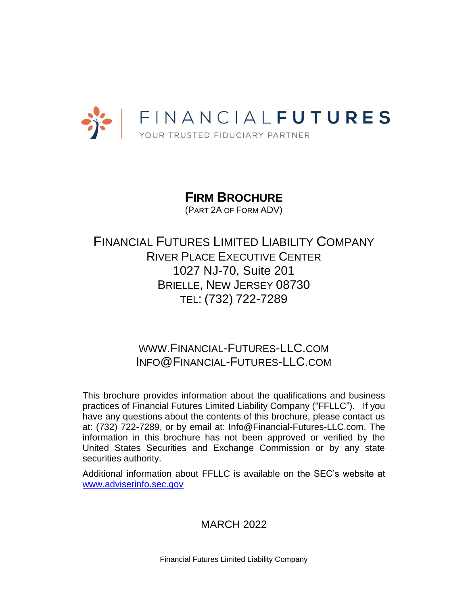

**FIRM BROCHURE** (PART 2A OF FORM ADV)

FINANCIAL FUTURES LIMITED LIABILITY COMPANY RIVER PLACE EXECUTIVE CENTER 1027 NJ-70, Suite 201 BRIELLE, NEW JERSEY 08730 TEL: (732) 722-7289

> WWW.FINANCIAL-FUTURES-LLC.COM INFO@FINANCIAL-FUTURES-LLC.COM

This brochure provides information about the qualifications and business practices of Financial Futures Limited Liability Company ("FFLLC"). If you have any questions about the contents of this brochure, please contact us at: (732) 722-7289, or by email at: Info@Financial-Futures-LLC.com. The information in this brochure has not been approved or verified by the United States Securities and Exchange Commission or by any state securities authority.

Additional information about FFLLC is available on the SEC's website at [www.adviserinfo.sec.gov](http://www.adviserinfo.sec.gov/)

# MARCH 2022

Financial Futures Limited Liability Company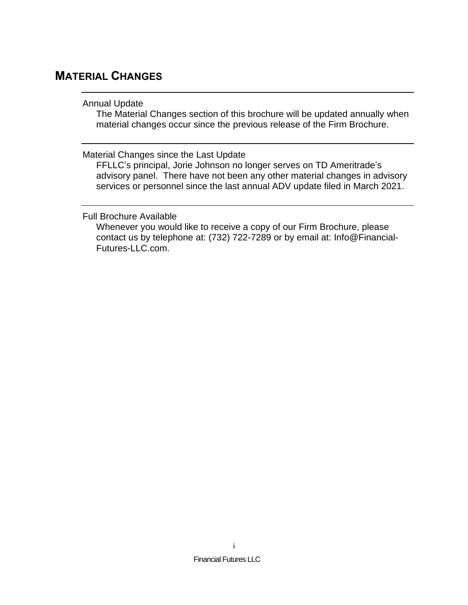# <span id="page-1-1"></span><span id="page-1-0"></span>**MATERIAL CHANGES**

# Annual Update

The Material Changes section of this brochure will be updated annually when material changes occur since the previous release of the Firm Brochure.

<span id="page-1-2"></span>Material Changes since the Last Update

FFLLC's principal, Jorie Johnson no longer serves on TD Ameritrade's advisory panel. There have not been any other material changes in advisory services or personnel since the last annual ADV update filed in March 2021.

<span id="page-1-3"></span>Full Brochure Available

Whenever you would like to receive a copy of our Firm Brochure, please contact us by telephone at: (732) 722-7289 or by email at: Info@Financial-Futures-LLC.com.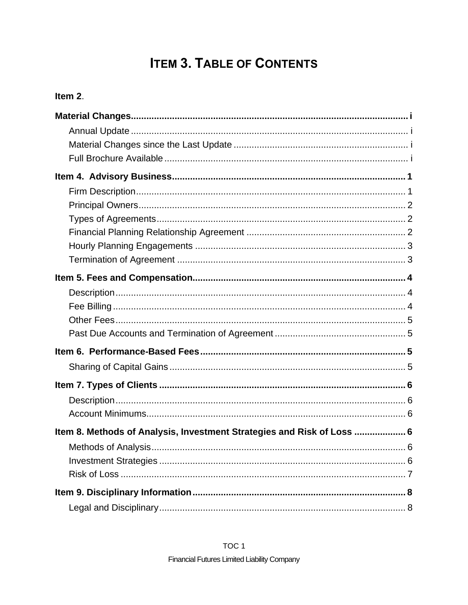# **ITEM 3. TABLE OF CONTENTS**

# Item 2.

| Item 8. Methods of Analysis, Investment Strategies and Risk of Loss  6 |
|------------------------------------------------------------------------|
|                                                                        |
|                                                                        |
|                                                                        |
|                                                                        |
|                                                                        |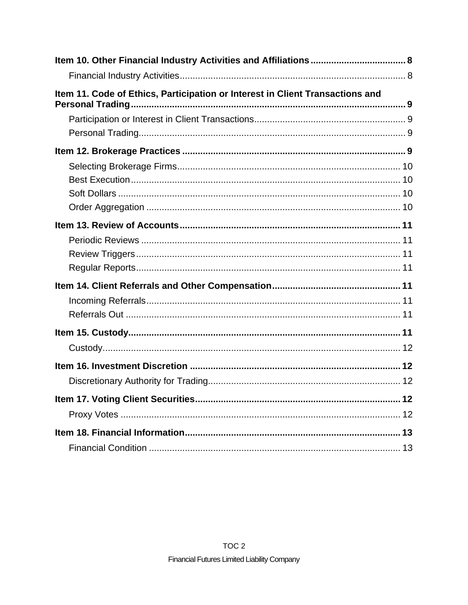| Item 11. Code of Ethics, Participation or Interest in Client Transactions and |  |
|-------------------------------------------------------------------------------|--|
|                                                                               |  |
|                                                                               |  |
|                                                                               |  |
|                                                                               |  |
|                                                                               |  |
|                                                                               |  |
|                                                                               |  |
|                                                                               |  |
|                                                                               |  |
|                                                                               |  |
|                                                                               |  |
|                                                                               |  |
|                                                                               |  |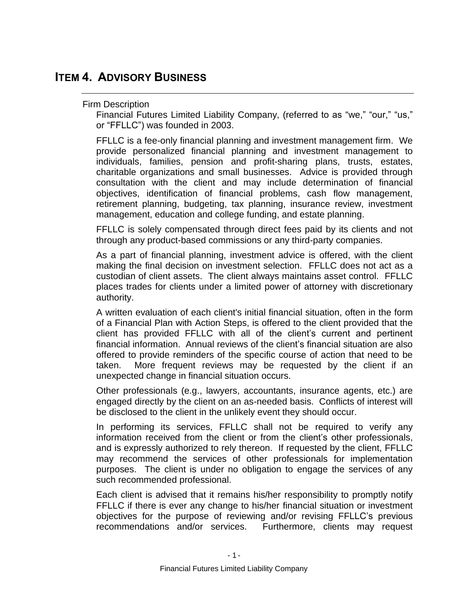# <span id="page-4-1"></span><span id="page-4-0"></span>**ITEM 4. ADVISORY BUSINESS**

# Firm Description

Financial Futures Limited Liability Company, (referred to as "we," "our," "us," or "FFLLC") was founded in 2003.

FFLLC is a fee-only financial planning and investment management firm. We provide personalized financial planning and investment management to individuals, families, pension and profit-sharing plans, trusts, estates, charitable organizations and small businesses. Advice is provided through consultation with the client and may include determination of financial objectives, identification of financial problems, cash flow management, retirement planning, budgeting, tax planning, insurance review, investment management, education and college funding, and estate planning.

FFLLC is solely compensated through direct fees paid by its clients and not through any product-based commissions or any third-party companies.

As a part of financial planning, investment advice is offered, with the client making the final decision on investment selection. FFLLC does not act as a custodian of client assets. The client always maintains asset control. FFLLC places trades for clients under a limited power of attorney with discretionary authority.

A written evaluation of each client's initial financial situation, often in the form of a Financial Plan with Action Steps, is offered to the client provided that the client has provided FFLLC with all of the client's current and pertinent financial information. Annual reviews of the client's financial situation are also offered to provide reminders of the specific course of action that need to be taken. More frequent reviews may be requested by the client if an unexpected change in financial situation occurs.

Other professionals (e.g., lawyers, accountants, insurance agents, etc.) are engaged directly by the client on an as-needed basis. Conflicts of interest will be disclosed to the client in the unlikely event they should occur.

In performing its services, FFLLC shall not be required to verify any information received from the client or from the client's other professionals, and is expressly authorized to rely thereon. If requested by the client, FFLLC may recommend the services of other professionals for implementation purposes. The client is under no obligation to engage the services of any such recommended professional.

Each client is advised that it remains his/her responsibility to promptly notify FFLLC if there is ever any change to his/her financial situation or investment objectives for the purpose of reviewing and/or revising FFLLC's previous recommendations and/or services. Furthermore, clients may request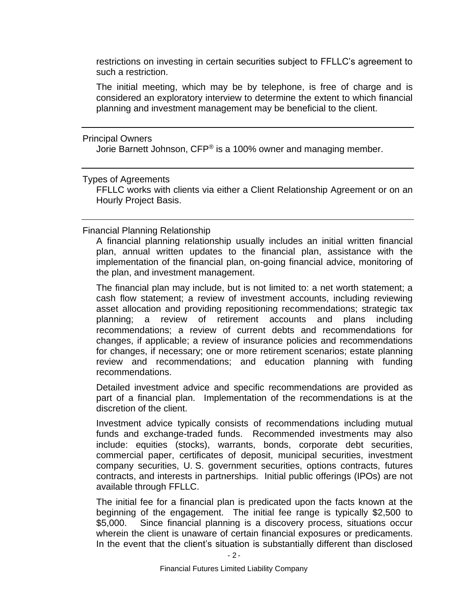restrictions on investing in certain securities subject to FFLLC's agreement to such a restriction.

The initial meeting, which may be by telephone, is free of charge and is considered an exploratory interview to determine the extent to which financial planning and investment management may be beneficial to the client.

<span id="page-5-0"></span>Principal Owners

Jorie Barnett Johnson, CFP® is a 100% owner and managing member.

<span id="page-5-1"></span>Types of Agreements

FFLLC works with clients via either a Client Relationship Agreement or on an Hourly Project Basis.

<span id="page-5-2"></span>Financial Planning Relationship

A financial planning relationship usually includes an initial written financial plan, annual written updates to the financial plan, assistance with the implementation of the financial plan, on-going financial advice, monitoring of the plan, and investment management.

The financial plan may include, but is not limited to: a net worth statement; a cash flow statement; a review of investment accounts, including reviewing asset allocation and providing repositioning recommendations; strategic tax planning; a review of retirement accounts and plans including recommendations; a review of current debts and recommendations for changes, if applicable; a review of insurance policies and recommendations for changes, if necessary; one or more retirement scenarios; estate planning review and recommendations; and education planning with funding recommendations.

Detailed investment advice and specific recommendations are provided as part of a financial plan. Implementation of the recommendations is at the discretion of the client.

Investment advice typically consists of recommendations including mutual funds and exchange-traded funds. Recommended investments may also include: equities (stocks), warrants, bonds, corporate debt securities, commercial paper, certificates of deposit, municipal securities, investment company securities, U. S. government securities, options contracts, futures contracts, and interests in partnerships. Initial public offerings (IPOs) are not available through FFLLC.

The initial fee for a financial plan is predicated upon the facts known at the beginning of the engagement. The initial fee range is typically \$2,500 to \$5,000. Since financial planning is a discovery process, situations occur wherein the client is unaware of certain financial exposures or predicaments. In the event that the client's situation is substantially different than disclosed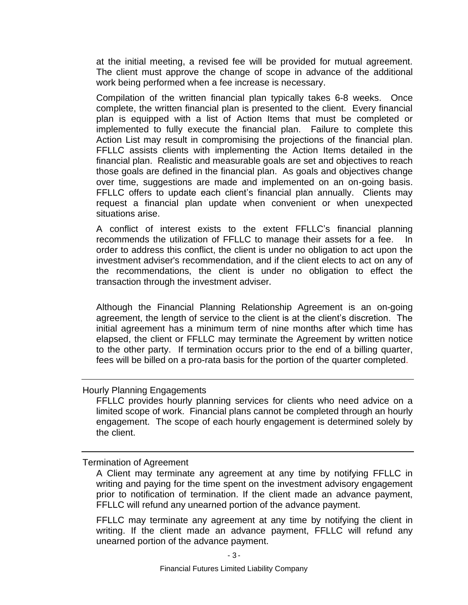at the initial meeting, a revised fee will be provided for mutual agreement. The client must approve the change of scope in advance of the additional work being performed when a fee increase is necessary.

Compilation of the written financial plan typically takes 6-8 weeks. Once complete, the written financial plan is presented to the client. Every financial plan is equipped with a list of Action Items that must be completed or implemented to fully execute the financial plan. Failure to complete this Action List may result in compromising the projections of the financial plan. FFLLC assists clients with implementing the Action Items detailed in the financial plan. Realistic and measurable goals are set and objectives to reach those goals are defined in the financial plan. As goals and objectives change over time, suggestions are made and implemented on an on-going basis. FFLLC offers to update each client's financial plan annually. Clients may request a financial plan update when convenient or when unexpected situations arise.

A conflict of interest exists to the extent FFLLC's financial planning recommends the utilization of FFLLC to manage their assets for a fee. In order to address this conflict, the client is under no obligation to act upon the investment adviser's recommendation, and if the client elects to act on any of the recommendations, the client is under no obligation to effect the transaction through the investment adviser.

Although the Financial Planning Relationship Agreement is an on-going agreement, the length of service to the client is at the client's discretion. The initial agreement has a minimum term of nine months after which time has elapsed, the client or FFLLC may terminate the Agreement by written notice to the other party. If termination occurs prior to the end of a billing quarter, fees will be billed on a pro-rata basis for the portion of the quarter completed.

## <span id="page-6-0"></span>Hourly Planning Engagements

FFLLC provides hourly planning services for clients who need advice on a limited scope of work. Financial plans cannot be completed through an hourly engagement. The scope of each hourly engagement is determined solely by the client.

#### <span id="page-6-1"></span>Termination of Agreement

FFLLC may terminate any agreement at any time by notifying the client in writing. If the client made an advance payment, FFLLC will refund any unearned portion of the advance payment.

A Client may terminate any agreement at any time by notifying FFLLC in writing and paying for the time spent on the investment advisory engagement prior to notification of termination. If the client made an advance payment, FFLLC will refund any unearned portion of the advance payment.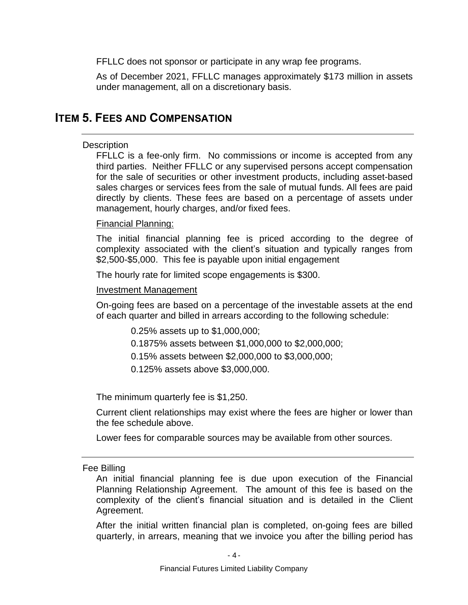FFLLC does not sponsor or participate in any wrap fee programs.

As of December 2021, FFLLC manages approximately \$173 million in assets under management, all on a discretionary basis.

# <span id="page-7-1"></span><span id="page-7-0"></span>**ITEM 5. FEES AND COMPENSATION**

### **Description**

FFLLC is a fee-only firm. No commissions or income is accepted from any third parties. Neither FFLLC or any supervised persons accept compensation for the sale of securities or other investment products, including asset-based sales charges or services fees from the sale of mutual funds. All fees are paid directly by clients. These fees are based on a percentage of assets under management, hourly charges, and/or fixed fees.

## Financial Planning:

The initial financial planning fee is priced according to the degree of complexity associated with the client's situation and typically ranges from \$2,500-\$5,000. This fee is payable upon initial engagement

The hourly rate for limited scope engagements is \$300.

### Investment Management

On-going fees are based on a percentage of the investable assets at the end of each quarter and billed in arrears according to the following schedule:

0.25% assets up to \$1,000,000;

0.1875% assets between \$1,000,000 to \$2,000,000;

0.15% assets between \$2,000,000 to \$3,000,000;

0.125% assets above \$3,000,000.

The minimum quarterly fee is \$1,250.

Current client relationships may exist where the fees are higher or lower than the fee schedule above.

Lower fees for comparable sources may be available from other sources.

<span id="page-7-2"></span>Fee Billing

An initial financial planning fee is due upon execution of the Financial Planning Relationship Agreement. The amount of this fee is based on the complexity of the client's financial situation and is detailed in the Client Agreement.

After the initial written financial plan is completed, on-going fees are billed quarterly, in arrears, meaning that we invoice you after the billing period has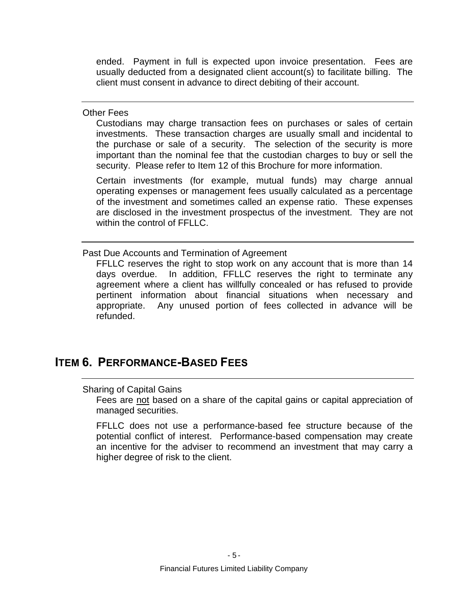ended. Payment in full is expected upon invoice presentation. Fees are usually deducted from a designated client account(s) to facilitate billing. The client must consent in advance to direct debiting of their account.

<span id="page-8-0"></span>Other Fees

Custodians may charge transaction fees on purchases or sales of certain investments. These transaction charges are usually small and incidental to the purchase or sale of a security. The selection of the security is more important than the nominal fee that the custodian charges to buy or sell the security. Please refer to Item 12 of this Brochure for more information.

Certain investments (for example, mutual funds) may charge annual operating expenses or management fees usually calculated as a percentage of the investment and sometimes called an expense ratio. These expenses are disclosed in the investment prospectus of the investment. They are not within the control of FFLLC.

<span id="page-8-1"></span>Past Due Accounts and Termination of Agreement

FFLLC reserves the right to stop work on any account that is more than 14 days overdue. In addition, FFLLC reserves the right to terminate any agreement where a client has willfully concealed or has refused to provide pertinent information about financial situations when necessary and appropriate. Any unused portion of fees collected in advance will be refunded.

# <span id="page-8-3"></span><span id="page-8-2"></span>**ITEM 6. PERFORMANCE-BASED FEES**

### Sharing of Capital Gains

Fees are not based on a share of the capital gains or capital appreciation of managed securities.

FFLLC does not use a performance-based fee structure because of the potential conflict of interest. Performance-based compensation may create an incentive for the adviser to recommend an investment that may carry a higher degree of risk to the client.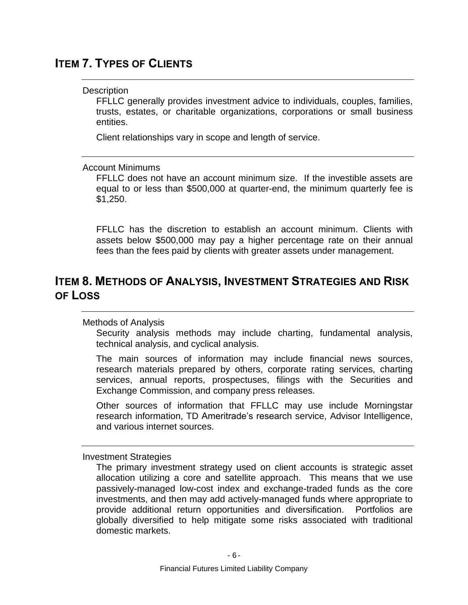# <span id="page-9-1"></span><span id="page-9-0"></span>**ITEM 7. TYPES OF CLIENTS**

# **Description**

FFLLC generally provides investment advice to individuals, couples, families, trusts, estates, or charitable organizations, corporations or small business entities.

Client relationships vary in scope and length of service.

## <span id="page-9-2"></span>Account Minimums

FFLLC does not have an account minimum size. If the investible assets are equal to or less than \$500,000 at quarter-end, the minimum quarterly fee is \$1,250.

FFLLC has the discretion to establish an account minimum. Clients with assets below \$500,000 may pay a higher percentage rate on their annual fees than the fees paid by clients with greater assets under management.

# <span id="page-9-4"></span><span id="page-9-3"></span>**ITEM 8. METHODS OF ANALYSIS, INVESTMENT STRATEGIES AND RISK OF LOSS**

# Methods of Analysis

Security analysis methods may include charting, fundamental analysis, technical analysis, and cyclical analysis.

The main sources of information may include financial news sources, research materials prepared by others, corporate rating services, charting services, annual reports, prospectuses, filings with the Securities and Exchange Commission, and company press releases.

Other sources of information that FFLLC may use include Morningstar research information, TD Ameritrade's research service, Advisor Intelligence, and various internet sources.

<span id="page-9-5"></span>Investment Strategies

The primary investment strategy used on client accounts is strategic asset allocation utilizing a core and satellite approach. This means that we use passively-managed low-cost index and exchange-traded funds as the core investments, and then may add actively-managed funds where appropriate to provide additional return opportunities and diversification. Portfolios are globally diversified to help mitigate some risks associated with traditional domestic markets.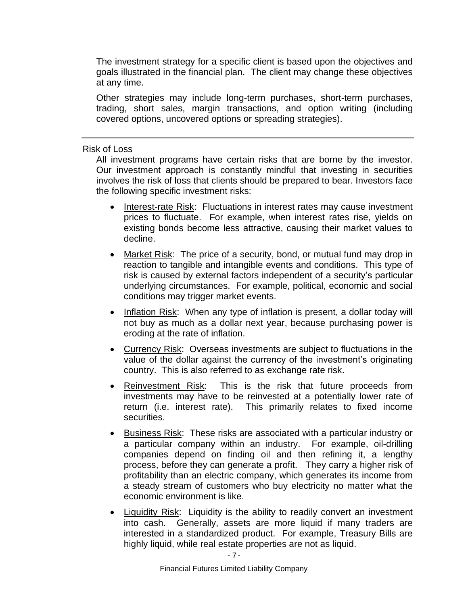The investment strategy for a specific client is based upon the objectives and goals illustrated in the financial plan. The client may change these objectives at any time.

Other strategies may include long-term purchases, short-term purchases, trading, short sales, margin transactions, and option writing (including covered options, uncovered options or spreading strategies).

#### <span id="page-10-0"></span>Risk of Loss

All investment programs have certain risks that are borne by the investor. Our investment approach is constantly mindful that investing in securities involves the risk of loss that clients should be prepared to bear. Investors face the following specific investment risks:

- Interest-rate Risk: Fluctuations in interest rates may cause investment prices to fluctuate. For example, when interest rates rise, yields on existing bonds become less attractive, causing their market values to decline.
- Market Risk: The price of a security, bond, or mutual fund may drop in reaction to tangible and intangible events and conditions. This type of risk is caused by external factors independent of a security's particular underlying circumstances. For example, political, economic and social conditions may trigger market events.
- Inflation Risk: When any type of inflation is present, a dollar today will not buy as much as a dollar next year, because purchasing power is eroding at the rate of inflation.
- Currency Risk: Overseas investments are subject to fluctuations in the value of the dollar against the currency of the investment's originating country. This is also referred to as exchange rate risk.
- Reinvestment Risk: This is the risk that future proceeds from investments may have to be reinvested at a potentially lower rate of return (i.e. interest rate). This primarily relates to fixed income securities.
- Business Risk: These risks are associated with a particular industry or a particular company within an industry. For example, oil-drilling companies depend on finding oil and then refining it, a lengthy process, before they can generate a profit. They carry a higher risk of profitability than an electric company, which generates its income from a steady stream of customers who buy electricity no matter what the economic environment is like.
- Liquidity Risk: Liquidity is the ability to readily convert an investment into cash. Generally, assets are more liquid if many traders are interested in a standardized product. For example, Treasury Bills are highly liquid, while real estate properties are not as liquid.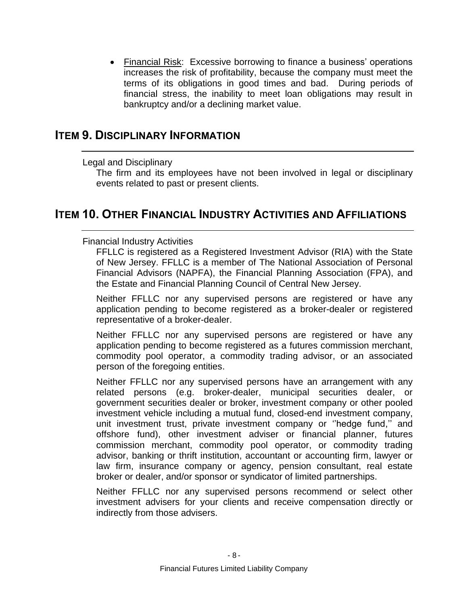• Financial Risk: Excessive borrowing to finance a business' operations increases the risk of profitability, because the company must meet the terms of its obligations in good times and bad. During periods of financial stress, the inability to meet loan obligations may result in bankruptcy and/or a declining market value.

# <span id="page-11-1"></span><span id="page-11-0"></span>**ITEM 9. DISCIPLINARY INFORMATION**

# Legal and Disciplinary

The firm and its employees have not been involved in legal or disciplinary events related to past or present clients.

# <span id="page-11-3"></span><span id="page-11-2"></span>**ITEM 10. OTHER FINANCIAL INDUSTRY ACTIVITIES AND AFFILIATIONS**

# Financial Industry Activities

FFLLC is registered as a Registered Investment Advisor (RIA) with the State of New Jersey. FFLLC is a member of The National Association of Personal Financial Advisors (NAPFA), the Financial Planning Association (FPA), and the Estate and Financial Planning Council of Central New Jersey.

Neither FFLLC nor any supervised persons are registered or have any application pending to become registered as a broker-dealer or registered representative of a broker-dealer.

Neither FFLLC nor any supervised persons are registered or have any application pending to become registered as a futures commission merchant, commodity pool operator, a commodity trading advisor, or an associated person of the foregoing entities.

Neither FFLLC nor any supervised persons have an arrangement with any related persons (e.g. broker-dealer, municipal securities dealer, or government securities dealer or broker, investment company or other pooled investment vehicle including a mutual fund, closed-end investment company, unit investment trust, private investment company or ''hedge fund,'' and offshore fund), other investment adviser or financial planner, futures commission merchant, commodity pool operator, or commodity trading advisor, banking or thrift institution, accountant or accounting firm, lawyer or law firm, insurance company or agency, pension consultant, real estate broker or dealer, and/or sponsor or syndicator of limited partnerships.

<span id="page-11-4"></span>Neither FFLLC nor any supervised persons recommend or select other investment advisers for your clients and receive compensation directly or indirectly from those advisers.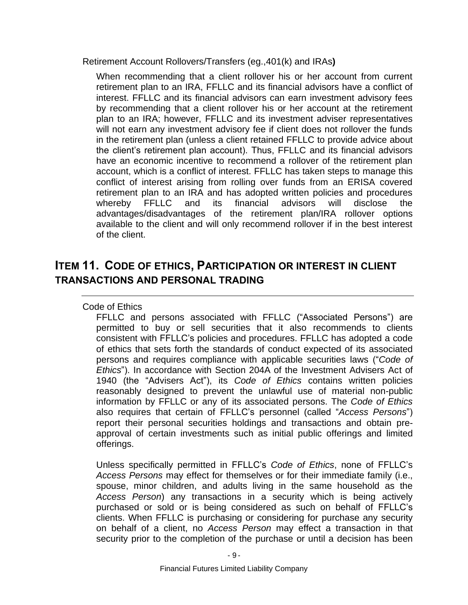Retirement Account Rollovers/Transfers (eg.,401(k) and IRAs**)**

When recommending that a client rollover his or her account from current retirement plan to an IRA, FFLLC and its financial advisors have a conflict of interest. FFLLC and its financial advisors can earn investment advisory fees by recommending that a client rollover his or her account at the retirement plan to an IRA; however, FFLLC and its investment adviser representatives will not earn any investment advisory fee if client does not rollover the funds in the retirement plan (unless a client retained FFLLC to provide advice about the client's retirement plan account). Thus, FFLLC and its financial advisors have an economic incentive to recommend a rollover of the retirement plan account, which is a conflict of interest. FFLLC has taken steps to manage this conflict of interest arising from rolling over funds from an ERISA covered retirement plan to an IRA and has adopted written policies and procedures whereby FFLLC and its financial advisors will disclose the advantages/disadvantages of the retirement plan/IRA rollover options available to the client and will only recommend rollover if in the best interest of the client.

# **ITEM 11. CODE OF ETHICS, PARTICIPATION OR INTEREST IN CLIENT TRANSACTIONS AND PERSONAL TRADING**

# Code of Ethics

FFLLC and persons associated with FFLLC ("Associated Persons") are permitted to buy or sell securities that it also recommends to clients consistent with FFLLC's policies and procedures. FFLLC has adopted a code of ethics that sets forth the standards of conduct expected of its associated persons and requires compliance with applicable securities laws ("*Code of Ethics*"). In accordance with Section 204A of the Investment Advisers Act of 1940 (the "Advisers Act"), its *Code of Ethics* contains written policies reasonably designed to prevent the unlawful use of material non-public information by FFLLC or any of its associated persons. The *Code of Ethics*  also requires that certain of FFLLC's personnel (called "*Access Persons*") report their personal securities holdings and transactions and obtain preapproval of certain investments such as initial public offerings and limited offerings.

Unless specifically permitted in FFLLC's *Code of Ethics*, none of FFLLC's *Access Persons* may effect for themselves or for their immediate family (i.e., spouse, minor children, and adults living in the same household as the *Access Person*) any transactions in a security which is being actively purchased or sold or is being considered as such on behalf of FFLLC's clients. When FFLLC is purchasing or considering for purchase any security on behalf of a client, no *Access Person* may effect a transaction in that security prior to the completion of the purchase or until a decision has been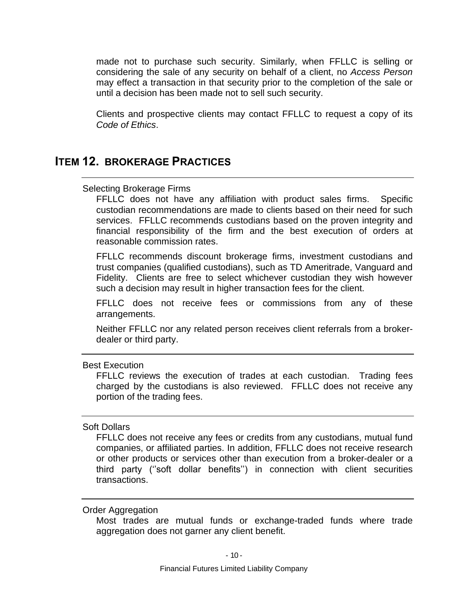made not to purchase such security. Similarly, when FFLLC is selling or considering the sale of any security on behalf of a client, no *Access Person*  may effect a transaction in that security prior to the completion of the sale or until a decision has been made not to sell such security.

Clients and prospective clients may contact FFLLC to request a copy of its *Code of Ethics*.

# <span id="page-13-0"></span>**ITEM 12. BROKERAGE PRACTICES**

#### Selecting Brokerage Firms

FFLLC does not have any affiliation with product sales firms. Specific custodian recommendations are made to clients based on their need for such services. FFLLC recommends custodians based on the proven integrity and financial responsibility of the firm and the best execution of orders at reasonable commission rates.

FFLLC recommends discount brokerage firms, investment custodians and trust companies (qualified custodians), such as TD Ameritrade, Vanguard and Fidelity. Clients are free to select whichever custodian they wish however such a decision may result in higher transaction fees for the client.

FFLLC does not receive fees or commissions from any of these arrangements.

Neither FFLLC nor any related person receives client referrals from a brokerdealer or third party.

<span id="page-13-1"></span>Best Execution

FFLLC reviews the execution of trades at each custodian. Trading fees charged by the custodians is also reviewed. FFLLC does not receive any portion of the trading fees.

## <span id="page-13-2"></span>Soft Dollars

FFLLC does not receive any fees or credits from any custodians, mutual fund companies, or affiliated parties. In addition, FFLLC does not receive research or other products or services other than execution from a broker-dealer or a third party (''soft dollar benefits'') in connection with client securities transactions.

#### <span id="page-13-3"></span>Order Aggregation

Most trades are mutual funds or exchange-traded funds where trade aggregation does not garner any client benefit.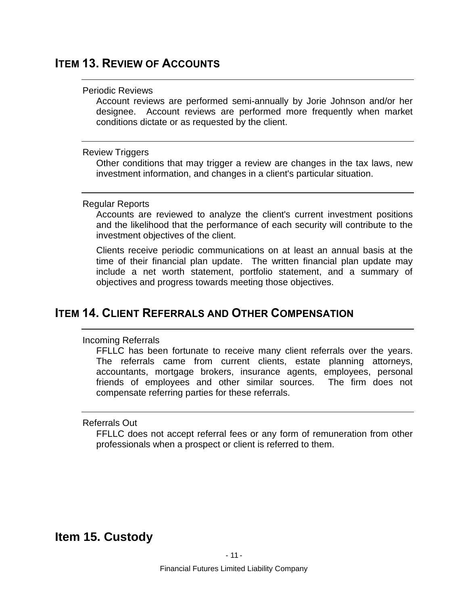# <span id="page-14-1"></span><span id="page-14-0"></span>**ITEM 13. REVIEW OF ACCOUNTS**

#### Periodic Reviews

Account reviews are performed semi-annually by Jorie Johnson and/or her designee. Account reviews are performed more frequently when market conditions dictate or as requested by the client.

#### <span id="page-14-2"></span>Review Triggers

Other conditions that may trigger a review are changes in the tax laws, new investment information, and changes in a client's particular situation.

### <span id="page-14-3"></span>Regular Reports

Accounts are reviewed to analyze the client's current investment positions and the likelihood that the performance of each security will contribute to the investment objectives of the client.

Clients receive periodic communications on at least an annual basis at the time of their financial plan update. The written financial plan update may include a net worth statement, portfolio statement, and a summary of objectives and progress towards meeting those objectives.

# <span id="page-14-5"></span><span id="page-14-4"></span>**ITEM 14. CLIENT REFERRALS AND OTHER COMPENSATION**

# Incoming Referrals

FFLLC has been fortunate to receive many client referrals over the years. The referrals came from current clients, estate planning attorneys, accountants, mortgage brokers, insurance agents, employees, personal friends of employees and other similar sources. The firm does not compensate referring parties for these referrals.

### <span id="page-14-6"></span>Referrals Out

<span id="page-14-7"></span>FFLLC does not accept referral fees or any form of remuneration from other professionals when a prospect or client is referred to them.

# **Item 15. Custody**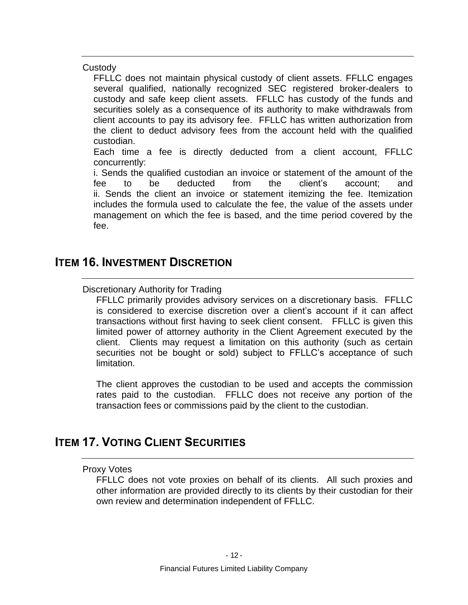<span id="page-15-0"></span>**Custody** 

FFLLC does not maintain physical custody of client assets. FFLLC engages several qualified, nationally recognized SEC registered broker-dealers to custody and safe keep client assets. FFLLC has custody of the funds and securities solely as a consequence of its authority to make withdrawals from client accounts to pay its advisory fee. FFLLC has written authorization from the client to deduct advisory fees from the account held with the qualified custodian.

Each time a fee is directly deducted from a client account, FFLLC concurrently:

i. Sends the qualified custodian an invoice or statement of the amount of the fee to be deducted from the client's account; and ii. Sends the client an invoice or statement itemizing the fee. Itemization includes the formula used to calculate the fee, the value of the assets under management on which the fee is based, and the time period covered by the fee.

# <span id="page-15-2"></span><span id="page-15-1"></span>**ITEM 16. INVESTMENT DISCRETION**

# Discretionary Authority for Trading

FFLLC primarily provides advisory services on a discretionary basis. FFLLC is considered to exercise discretion over a client's account if it can affect transactions without first having to seek client consent. FFLLC is given this limited power of attorney authority in the Client Agreement executed by the client. Clients may request a limitation on this authority (such as certain securities not be bought or sold) subject to FFLLC's acceptance of such limitation.

The client approves the custodian to be used and accepts the commission rates paid to the custodian. FFLLC does not receive any portion of the transaction fees or commissions paid by the client to the custodian.

# <span id="page-15-4"></span><span id="page-15-3"></span>**ITEM 17. VOTING CLIENT SECURITIES**

### Proxy Votes

FFLLC does not vote proxies on behalf of its clients. All such proxies and other information are provided directly to its clients by their custodian for their own review and determination independent of FFLLC.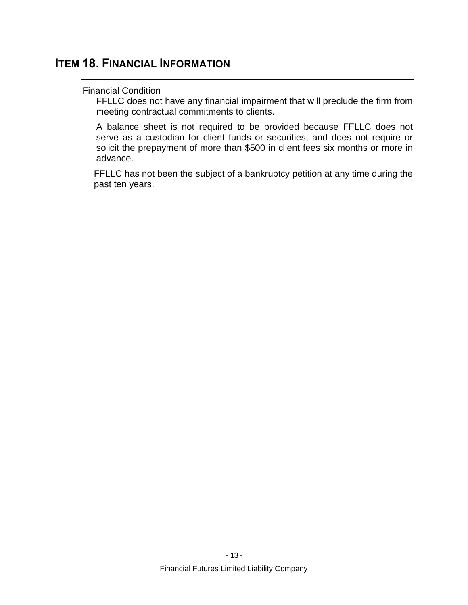# <span id="page-16-1"></span><span id="page-16-0"></span>**ITEM 18. FINANCIAL INFORMATION**

### Financial Condition

FFLLC does not have any financial impairment that will preclude the firm from meeting contractual commitments to clients.

A balance sheet is not required to be provided because FFLLC does not serve as a custodian for client funds or securities, and does not require or solicit the prepayment of more than \$500 in client fees six months or more in advance.

FFLLC has not been the subject of a bankruptcy petition at any time during the past ten years.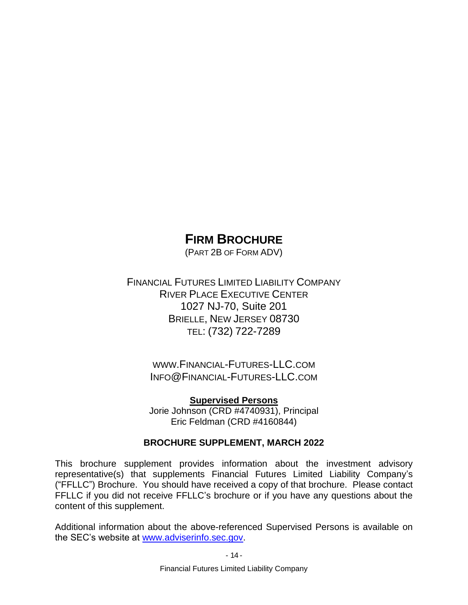# **FIRM BROCHURE**

(PART 2B OF FORM ADV)

FINANCIAL FUTURES LIMITED LIABILITY COMPANY RIVER PLACE EXECUTIVE CENTER 1027 NJ-70, Suite 201 BRIELLE, NEW JERSEY 08730 TEL: (732) 722-7289

> WWW.FINANCIAL-FUTURES-LLC.COM INFO@FINANCIAL-FUTURES-LLC.COM

> **Supervised Persons** Jorie Johnson (CRD #4740931), Principal Eric Feldman (CRD #4160844)

# **BROCHURE SUPPLEMENT, MARCH 2022**

This brochure supplement provides information about the investment advisory representative(s) that supplements Financial Futures Limited Liability Company's ("FFLLC") Brochure. You should have received a copy of that brochure. Please contact FFLLC if you did not receive FFLLC's brochure or if you have any questions about the content of this supplement.

Additional information about the above-referenced Supervised Persons is available on the SEC's website at [www.adviserinfo.sec.gov.](http://www.adviserinfo.sec.gov/)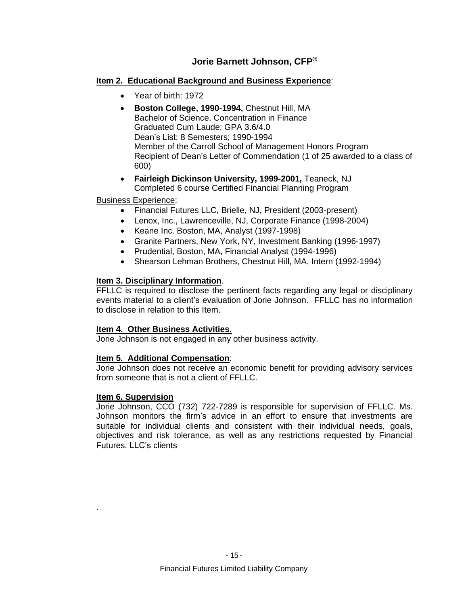# **Jorie Barnett Johnson, CFP®**

### **Item 2. Educational Background and Business Experience**:

- Year of birth: 1972
- **Boston College, 1990-1994,** Chestnut Hill, MA Bachelor of Science, Concentration in Finance Graduated Cum Laude; GPA 3.6/4.0 Dean's List: 8 Semesters; 1990-1994 Member of the Carroll School of Management Honors Program Recipient of Dean's Letter of Commendation (1 of 25 awarded to a class of 600)
- **Fairleigh Dickinson University, 1999-2001,** Teaneck, NJ Completed 6 course Certified Financial Planning Program

## Business Experience:

- Financial Futures LLC, Brielle, NJ, President (2003-present)
- Lenox, Inc., Lawrenceville, NJ, Corporate Finance (1998-2004)
- Keane Inc. Boston, MA, Analyst (1997-1998)
- Granite Partners, New York, NY, Investment Banking (1996-1997)
- Prudential, Boston, MA, Financial Analyst (1994-1996)
- Shearson Lehman Brothers, Chestnut Hill, MA, Intern (1992-1994)

## **Item 3. Disciplinary Information**.

FFLLC is required to disclose the pertinent facts regarding any legal or disciplinary events material to a client's evaluation of Jorie Johnson. FFLLC has no information to disclose in relation to this Item.

### **Item 4. Other Business Activities.**

Jorie Johnson is not engaged in any other business activity.

### **Item 5. Additional Compensation**:

Jorie Johnson does not receive an economic benefit for providing advisory services from someone that is not a client of FFLLC.

### **Item 6. Supervision**

.

Jorie Johnson, CCO (732) 722-7289 is responsible for supervision of FFLLC. Ms. Johnson monitors the firm's advice in an effort to ensure that investments are suitable for individual clients and consistent with their individual needs, goals, objectives and risk tolerance, as well as any restrictions requested by Financial Futures. LLC's clients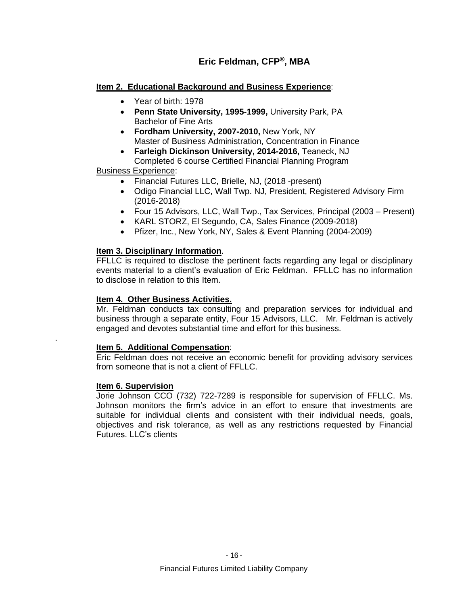# **Eric Feldman, CFP®, MBA**

### **Item 2. Educational Background and Business Experience**:

- Year of birth: 1978
- **Penn State University, 1995-1999,** University Park, PA Bachelor of Fine Arts
- **Fordham University, 2007-2010,** New York, NY Master of Business Administration, Concentration in Finance
- **Farleigh Dickinson University, 2014-2016,** Teaneck, NJ Completed 6 course Certified Financial Planning Program

#### Business Experience:

- Financial Futures LLC, Brielle, NJ, (2018 -present)
- Odigo Financial LLC, Wall Twp. NJ, President, Registered Advisory Firm (2016-2018)
- Four 15 Advisors, LLC, Wall Twp., Tax Services, Principal (2003 Present)
- KARL STORZ, El Segundo, CA, Sales Finance (2009-2018)
- Pfizer, Inc., New York, NY, Sales & Event Planning (2004-2009)

#### **Item 3. Disciplinary Information**.

FFLLC is required to disclose the pertinent facts regarding any legal or disciplinary events material to a client's evaluation of Eric Feldman. FFLLC has no information to disclose in relation to this Item.

#### **Item 4. Other Business Activities.**

Mr. Feldman conducts tax consulting and preparation services for individual and business through a separate entity, Four 15 Advisors, LLC. Mr. Feldman is actively engaged and devotes substantial time and effort for this business.

#### **Item 5. Additional Compensation**:

Eric Feldman does not receive an economic benefit for providing advisory services from someone that is not a client of FFLLC.

#### **Item 6. Supervision**

.

Jorie Johnson CCO (732) 722-7289 is responsible for supervision of FFLLC. Ms. Johnson monitors the firm's advice in an effort to ensure that investments are suitable for individual clients and consistent with their individual needs, goals, objectives and risk tolerance, as well as any restrictions requested by Financial Futures. LLC's clients